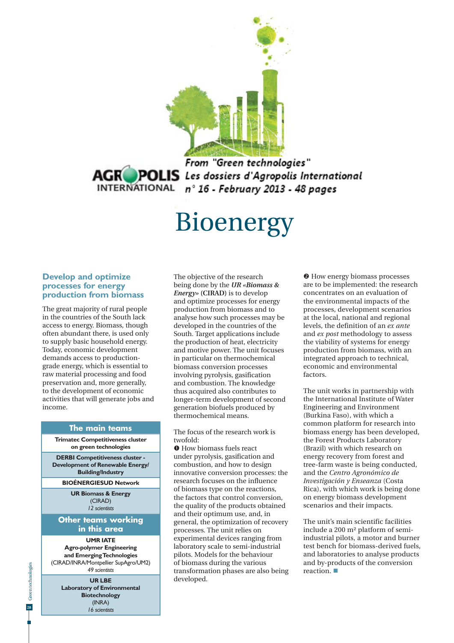

From "Green technologies" **AGR POLIS** Les dossiers d'Agropolis International INTERNATIONAL n° 16 - February 2013 - 48 pages

# Bioenergy

#### **Develop and optimize processes for energy production from biomass**

The great majority of rural people in the countries of the South lack access to energy. Biomass, though often abundant there, is used only to supply basic household energy. Today, economic development demands access to productiongrade energy, which is essential to raw material processing and food preservation and, more generally, to the development of economic activities that will generate jobs and income.

#### **The main teams**

**Trimatec Competitiveness cluster on green technologies**

**DERBI Competitiveness cluster - Development of Renewable Energy/ Building/Industry**

#### **BIOÉNERGIESUD Network**

**UR Biomass & Energy** (CIRAD) *12 scientists*

#### **Other teams working in this area**

**UMR IATE Agro-polymer Engineering and Emerging Technologies** (CIRAD/INRA/Montpellier SupAgro/UM2) *49 scientists*

> **UR LBE Laboratory of Environmental Biotechnology** (INRA) *16 scientists*

The objective of the research being done by the *UR «Biomass & Energy»* **(CIRAD)** is to develop and optimize processes for energy production from biomass and to analyse how such processes may be developed in the countries of the South. Target applications include the production of heat, electricity and motive power. The unit focuses in particular on thermochemical biomass conversion processes involving pyrolysis, gasification and combustion. The knowledge thus acquired also contributes to longer-term development of second generation biofuels produced by thermochemical means.

The focus of the research work is twofold:

**O** How biomass fuels react under pyrolysis, gasification and combustion, and how to design innovative conversion processes: the research focuses on the influence of biomass type on the reactions, the factors that control conversion, the quality of the products obtained and their optimum use, and, in general, the optimization of recovery processes. The unit relies on experimental devices ranging from laboratory scale to semi-industrial pilots. Models for the behaviour of biomass during the various transformation phases are also being developed.

 $\Theta$  How energy biomass processes are to be implemented: the research concentrates on an evaluation of the environmental impacts of the processes, development scenarios at the local, national and regional levels, the definition of an *ex ante* and *ex post* methodology to assess the viability of systems for energy production from biomass, with an integrated approach to technical, economic and environmental factors.

The unit works in partnership with the International Institute of Water Engineering and Environment (Burkina Faso), with which a common platform for research into biomass energy has been developed, the Forest Products Laboratory (Brazil) with which research on energy recovery from forest and tree-farm waste is being conducted, and the *Centro Agronómico de Investigación y Enseanza* (Costa Rica), with which work is being done on energy biomass development scenarios and their impacts.

The unit's main scientific facilities include a 200 m² platform of semiindustrial pilots, a motor and burner test bench for biomass-derived fuels, and laboratories to analyse products and by-products of the conversion reaction.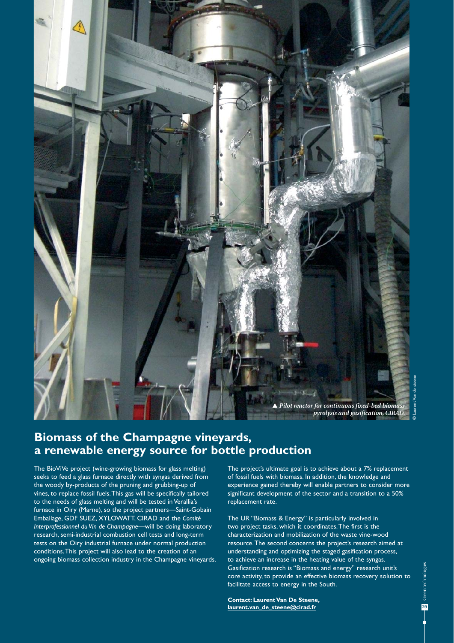

## **Biomass of the Champagne vineyards, a renewable energy source for bottle production**

The BioViVe project (wine-growing biomass for glass melting) seeks to feed a glass furnace directly with syngas derived from the woody by-products of the pruning and grubbing-up of vines, to replace fossil fuels. This gas will be specifically tailored to the needs of glass melting and will be tested in Verallia's furnace in Oiry (Marne), so the project partners—Saint-Gobain Emballage, GDF SUEZ, XYLOWATT, CIRAD and the *Comité Interprofessionnel du Vin de Champagne*—will be doing laboratory research, semi-industrial combustion cell tests and long-term tests on the Oiry industrial furnace under normal production conditions. This project will also lead to the creation of an ongoing biomass collection industry in the Champagne vineyards. The project's ultimate goal is to achieve about a 7% replacement of fossil fuels with biomass. In addition, the knowledge and experience gained thereby will enable partners to consider more significant development of the sector and a transition to a 50% replacement rate.

The UR "Biomass & Energy" is particularly involved in two project tasks, which it coordinates. The first is the characterization and mobilization of the waste vine-wood resource. The second concerns the project's research aimed at understanding and optimizing the staged gasification process, to achieve an increase in the heating value of the syngas. Gasification research is "Biomass and energy" research unit's core activity, to provide an effective biomass recovery solution to facilitate access to energy in the South.

**Contact: Laurent Van De Steene, laurent.van\_de\_steene@cirad.fr**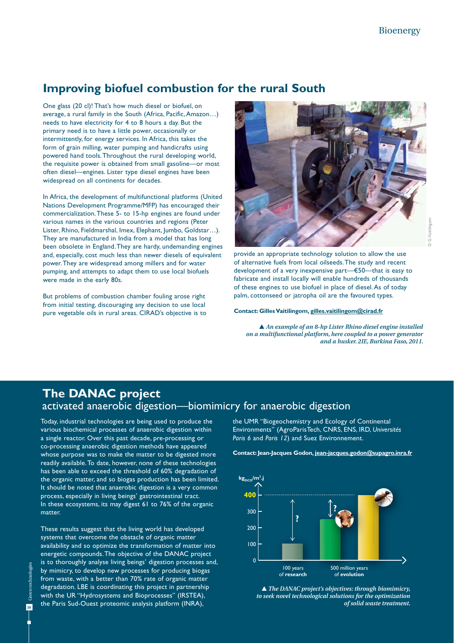## **Improving biofuel combustion for the rural South**

One glass (20 cl)! That's how much diesel or biofuel, on average, a rural family in the South (Africa, Pacific, Amazon…) needs to have electricity for 4 to 8 hours a day. But the primary need is to have a little power, occasionally or intermittently, for energy services. In Africa, this takes the form of grain milling, water pumping and handicrafts using powered hand tools. Throughout the rural developing world, the requisite power is obtained from small gasoline—or most often diesel—engines. Lister type diesel engines have been widespread on all continents for decades.

In Africa, the development of multifunctional platforms (United Nations Development Programme/MFP) has encouraged their commercialization. These 5- to 15-hp engines are found under various names in the various countries and regions (Peter Lister, Rhino, Fieldmarshal, Imex, Elephant, Jumbo, Goldstar…). They are manufactured in India from a model that has long been obsolete in England. They are hardy, undemanding engines and, especially, cost much less than newer diesels of equivalent power. They are widespread among millers and for water pumping, and attempts to adapt them to use local biofuels were made in the early 80s.

But problems of combustion chamber fouling arose right from initial testing, discouraging any decision to use local pure vegetable oils in rural areas. CIRAD's objective is to



provide an appropriate technology solution to allow the use of alternative fuels from local oilseeds. The study and recent development of a very inexpensive part—€50—that is easy to fabricate and install locally will enable hundreds of thousands of these engines to use biofuel in place of diesel. As of today palm, cottonseed or jatropha oil are the favoured types.

**Contact: Gilles Vaitilingom, gilles.vaitilingom@cirad.fr**

 *An example of an 8-hp Lister Rhino diesel engine installed on a multifunctional platform, here coupled to a power generator and a husker. 2IE, Burkina Faso, 2011.* 

## **The DANAC project**  activated anaerobic digestion—biomimicry for anaerobic digestion

Today, industrial technologies are being used to produce the various biochemical processes of anaerobic digestion within a single reactor. Over this past decade, pre-processing or co-processing anaerobic digestion methods have appeared whose purpose was to make the matter to be digested more readily available. To date, however, none of these technologies has been able to exceed the threshold of 60% degradation of the organic matter, and so biogas production has been limited. It should be noted that anaerobic digestion is a very common process, especially in living beings' gastrointestinal tract. In these ecosystems, its may digest 61 to 76% of the organic matter.

These results suggest that the living world has developed systems that overcome the obstacle of organic matter availability and so optimize the transformation of matter into energetic compounds. The objective of the DANAC project is to thoroughly analyse living beings' digestion processes and, by mimicry, to develop new processes for producing biogas from waste, with a better than 70% rate of organic matter degradation. LBE is coordinating this project in partnership with the UR "Hydrosystems and Bioprocesses" (IRSTEA), the Paris Sud-Ouest proteomic analysis platform (INRA),

the UMR "Biogeochemistry and Ecology of Continental Environments" (AgroParisTech, CNRS, ENS, IRD, *Universités Paris 6* and *Paris 12*) and Suez Environnement.

**Contact: Jean-Jacques Godon, jean-jacques.godon@supagro.inra.fr**



 *The DANAC project's objectives: through biomimicry, to seek novel technological solutions for the optimization of solid waste treatment.*